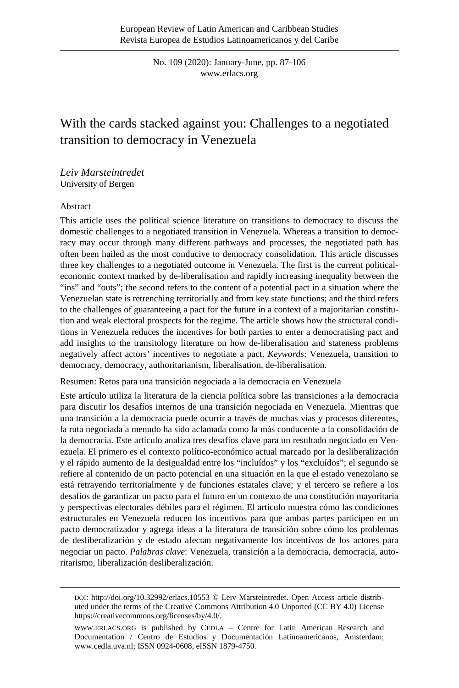No. 109 (2020): January-June, pp. 87-106 [www.erlacs.org](http://www.erlacs.org/)

# With the cards stacked against you: Challenges to a negotiated transition to democracy in Venezuela

*Leiv Marsteintredet* University of Bergen

#### Abstract

This article uses the political science literature on transitions to democracy to discuss the domestic challenges to a negotiated transition in Venezuela. Whereas a transition to democracy may occur through many different pathways and processes, the negotiated path has often been hailed as the most conducive to democracy consolidation. This article discusses three key challenges to a negotiated outcome in Venezuela. The first is the current politicaleconomic context marked by de-liberalisation and rapidly increasing inequality between the "ins" and "outs"; the second refers to the content of a potential pact in a situation where the Venezuelan state is retrenching territorially and from key state functions; and the third refers to the challenges of guaranteeing a pact for the future in a context of a majoritarian constitution and weak electoral prospects for the regime. The article shows how the structural conditions in Venezuela reduces the incentives for both parties to enter a democratising pact and add insights to the transitology literature on how de-liberalisation and stateness problems negatively affect actors' incentives to negotiate a pact. *Keywords*: Venezuela, transition to democracy, democracy, authoritarianism, liberalisation, de-liberalisation.

Resumen: Retos para una transición negociada a la democracia en Venezuela

Este artículo utiliza la literatura de la ciencia política sobre las transiciones a la democracia para discutir los desafíos internos de una transición negociada en Venezuela. Mientras que una transición a la democracia puede ocurrir a través de muchas vías y procesos diferentes, la ruta negociada a menudo ha sido aclamada como la más conducente a la consolidación de la democracia. Este artículo analiza tres desafíos clave para un resultado negociado en Venezuela. El primero es el contexto político-económico actual marcado por la desliberalización y el rápido aumento de la desigualdad entre los "incluídos" y los "excluídos"; el segundo se refiere al contenido de un pacto potencial en una situación en la que el estado venezolano se está retrayendo territorialmente y de funciones estatales clave; y el tercero se refiere a los desafíos de garantizar un pacto para el futuro en un contexto de una constitución mayoritaria y perspectivas electorales débiles para el régimen. El artículo muestra cómo las condiciones estructurales en Venezuela reducen los incentivos para que ambas partes participen en un pacto democratizador y agrega ideas a la literatura de transición sobre cómo los problemas de desliberalización y de estado afectan negativamente los incentivos de los actores para negociar un pacto. *Palabras clave*: Venezuela, transición a la democracia, democracia, autoritarismo, liberalización desliberalización.

DOI: [http://doi.org/10.32992/erlacs.10553](http://doi.org/10.32992/erlacs.10556) © Leiv Marsteintredet. Open Access article distributed under the terms of the Creative Commons Attribution 4.0 Unported (CC BY 4.0) License [https://creativecommons.org/licenses/by/4.0/.](https://creativecommons.org/licenses/by/4.0/) 

[WWW.ERLACS.ORG](http://www.erlacs.org/) is published by CEDLA – Centre for Latin American Research and Documentation / Centro de Estudios y Documentación Latinoamericanos, Amsterdam; [www.cedla.uva.nl;](http://www.cedla.uva.nl/) ISSN 0924-0608, eISSN 1879-4750.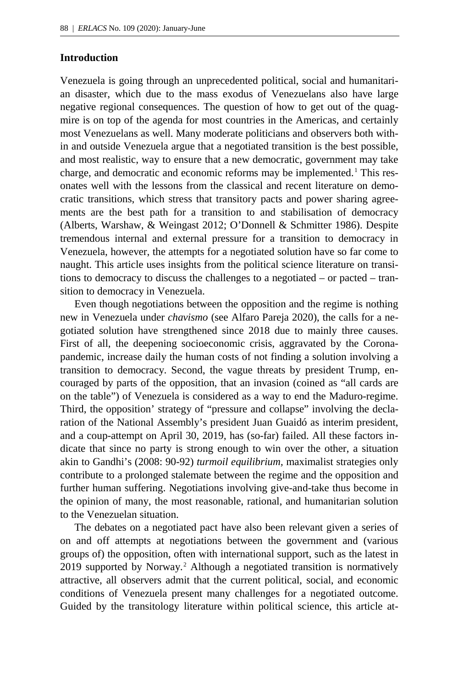## **Introduction**

Venezuela is going through an unprecedented political, social and humanitarian disaster, which due to the mass exodus of Venezuelans also have large negative regional consequences. The question of how to get out of the quagmire is on top of the agenda for most countries in the Americas, and certainly most Venezuelans as well. Many moderate politicians and observers both within and outside Venezuela argue that a negotiated transition is the best possible, and most realistic, way to ensure that a new democratic, government may take charge, and democratic and economic reforms may be implemented.<sup>[1](#page-18-0)</sup> This resonates well with the lessons from the classical and recent literature on democratic transitions, which stress that transitory pacts and power sharing agreements are the best path for a transition to and stabilisation of democracy (Alberts, Warshaw, & Weingast 2012; O'Donnell & Schmitter 1986). Despite tremendous internal and external pressure for a transition to democracy in Venezuela, however, the attempts for a negotiated solution have so far come to naught. This article uses insights from the political science literature on transitions to democracy to discuss the challenges to a negotiated – or pacted – transition to democracy in Venezuela.

Even though negotiations between the opposition and the regime is nothing new in Venezuela under *chavismo* (see Alfaro Pareja 2020), the calls for a negotiated solution have strengthened since 2018 due to mainly three causes. First of all, the deepening socioeconomic crisis, aggravated by the Coronapandemic, increase daily the human costs of not finding a solution involving a transition to democracy. Second, the vague threats by president Trump, encouraged by parts of the opposition, that an invasion (coined as "all cards are on the table") of Venezuela is considered as a way to end the Maduro-regime. Third, the opposition' strategy of "pressure and collapse" involving the declaration of the National Assembly's president Juan Guaidó as interim president, and a coup-attempt on April 30, 2019, has (so-far) failed. All these factors indicate that since no party is strong enough to win over the other, a situation akin to Gandhi's (2008: 90-92) *turmoil equilibrium,* maximalist strategies only contribute to a prolonged stalemate between the regime and the opposition and further human suffering. Negotiations involving give-and-take thus become in the opinion of many, the most reasonable, rational, and humanitarian solution to the Venezuelan situation.

The debates on a negotiated pact have also been relevant given a series of on and off attempts at negotiations between the government and (various groups of) the opposition, often with international support, such as the latest in [2](#page-18-1)019 supported by Norway.<sup>2</sup> Although a negotiated transition is normatively attractive, all observers admit that the current political, social, and economic conditions of Venezuela present many challenges for a negotiated outcome. Guided by the transitology literature within political science, this article at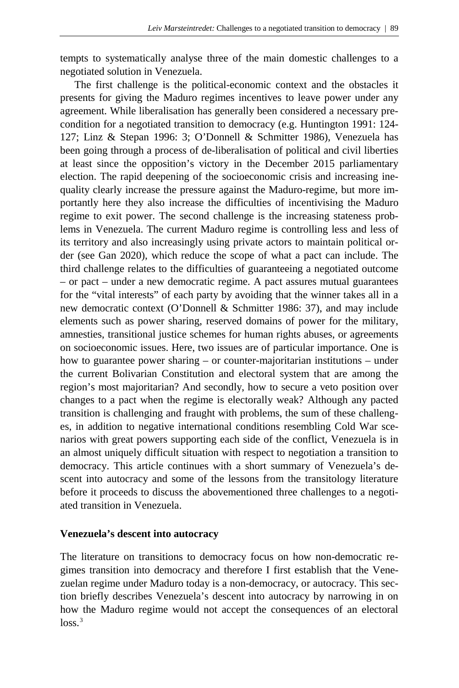tempts to systematically analyse three of the main domestic challenges to a negotiated solution in Venezuela.

The first challenge is the political-economic context and the obstacles it presents for giving the Maduro regimes incentives to leave power under any agreement. While liberalisation has generally been considered a necessary precondition for a negotiated transition to democracy (e.g. Huntington 1991: 124- 127; Linz & Stepan 1996: 3; O'Donnell & Schmitter 1986), Venezuela has been going through a process of de-liberalisation of political and civil liberties at least since the opposition's victory in the December 2015 parliamentary election. The rapid deepening of the socioeconomic crisis and increasing inequality clearly increase the pressure against the Maduro-regime, but more importantly here they also increase the difficulties of incentivising the Maduro regime to exit power. The second challenge is the increasing stateness problems in Venezuela. The current Maduro regime is controlling less and less of its territory and also increasingly using private actors to maintain political order (see Gan 2020), which reduce the scope of what a pact can include. The third challenge relates to the difficulties of guaranteeing a negotiated outcome – or pact – under a new democratic regime. A pact assures mutual guarantees for the "vital interests" of each party by avoiding that the winner takes all in a new democratic context (O'Donnell & Schmitter 1986: 37), and may include elements such as power sharing, reserved domains of power for the military, amnesties, transitional justice schemes for human rights abuses, or agreements on socioeconomic issues. Here, two issues are of particular importance. One is how to guarantee power sharing – or counter-majoritarian institutions – under the current Bolivarian Constitution and electoral system that are among the region's most majoritarian? And secondly, how to secure a veto position over changes to a pact when the regime is electorally weak? Although any pacted transition is challenging and fraught with problems, the sum of these challenges, in addition to negative international conditions resembling Cold War scenarios with great powers supporting each side of the conflict, Venezuela is in an almost uniquely difficult situation with respect to negotiation a transition to democracy. This article continues with a short summary of Venezuela's descent into autocracy and some of the lessons from the transitology literature before it proceeds to discuss the abovementioned three challenges to a negotiated transition in Venezuela.

### **Venezuela's descent into autocracy**

The literature on transitions to democracy focus on how non-democratic regimes transition into democracy and therefore I first establish that the Venezuelan regime under Maduro today is a non-democracy, or autocracy. This section briefly describes Venezuela's descent into autocracy by narrowing in on how the Maduro regime would not accept the consequences of an electoral  $\log s$ <sup>[3](#page-18-2)</sup>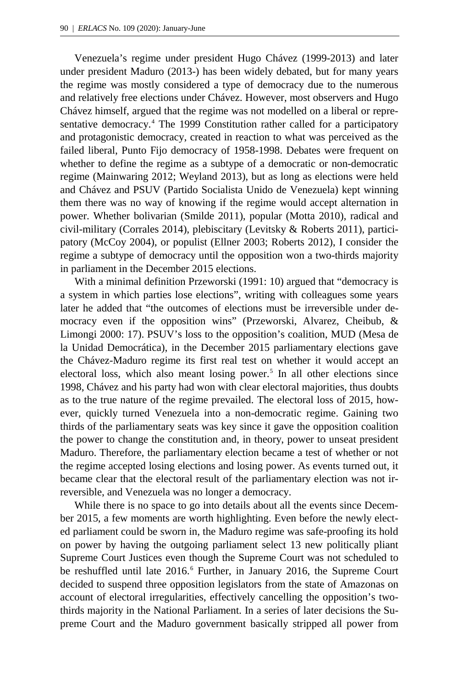Venezuela's regime under president Hugo Chávez (1999-2013) and later under president Maduro (2013-) has been widely debated, but for many years the regime was mostly considered a type of democracy due to the numerous and relatively free elections under Chávez. However, most observers and Hugo Chávez himself, argued that the regime was not modelled on a liberal or repre-sentative democracy.<sup>[4](#page-18-3)</sup> The 1999 Constitution rather called for a participatory and protagonistic democracy, created in reaction to what was perceived as the failed liberal, Punto Fijo democracy of 1958-1998. Debates were frequent on whether to define the regime as a subtype of a democratic or non-democratic regime (Mainwaring 2012; Weyland 2013), but as long as elections were held and Chávez and PSUV (Partido Socialista Unido de Venezuela) kept winning them there was no way of knowing if the regime would accept alternation in power. Whether bolivarian (Smilde 2011), popular (Motta 2010), radical and civil-military (Corrales 2014), plebiscitary (Levitsky & Roberts 2011), participatory (McCoy 2004), or populist (Ellner 2003; Roberts 2012), I consider the regime a subtype of democracy until the opposition won a two-thirds majority in parliament in the December 2015 elections.

With a minimal definition Przeworski (1991: 10) argued that "democracy is a system in which parties lose elections", writing with colleagues some years later he added that "the outcomes of elections must be irreversible under democracy even if the opposition wins" (Przeworski, Alvarez, Cheibub, & Limongi 2000: 17). PSUV's loss to the opposition's coalition, MUD (Mesa de la Unidad Democrática), in the December 2015 parliamentary elections gave the Chávez-Maduro regime its first real test on whether it would accept an electoral loss, which also meant losing power.<sup>[5](#page-18-4)</sup> In all other elections since 1998, Chávez and his party had won with clear electoral majorities, thus doubts as to the true nature of the regime prevailed. The electoral loss of 2015, however, quickly turned Venezuela into a non-democratic regime. Gaining two thirds of the parliamentary seats was key since it gave the opposition coalition the power to change the constitution and, in theory, power to unseat president Maduro. Therefore, the parliamentary election became a test of whether or not the regime accepted losing elections and losing power. As events turned out, it became clear that the electoral result of the parliamentary election was not irreversible, and Venezuela was no longer a democracy.

While there is no space to go into details about all the events since December 2015, a few moments are worth highlighting. Even before the newly elected parliament could be sworn in, the Maduro regime was safe-proofing its hold on power by having the outgoing parliament select 13 new politically pliant Supreme Court Justices even though the Supreme Court was not scheduled to be reshuffled until late 201[6](#page-18-5).<sup>6</sup> Further, in January 2016, the Supreme Court decided to suspend three opposition legislators from the state of Amazonas on account of electoral irregularities, effectively cancelling the opposition's twothirds majority in the National Parliament. In a series of later decisions the Supreme Court and the Maduro government basically stripped all power from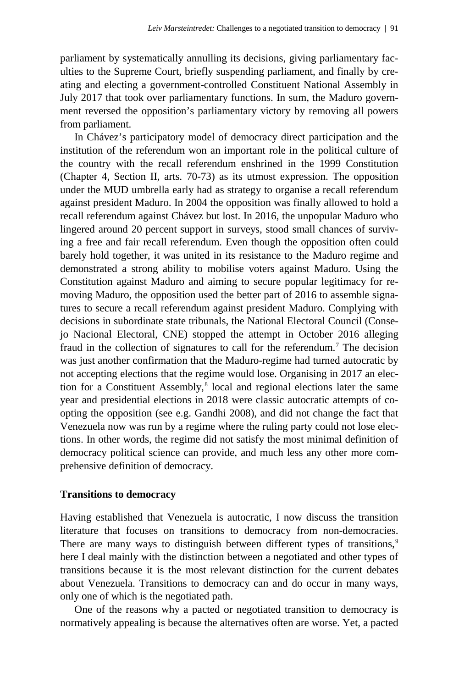parliament by systematically annulling its decisions, giving parliamentary faculties to the Supreme Court, briefly suspending parliament, and finally by creating and electing a government-controlled Constituent National Assembly in July 2017 that took over parliamentary functions. In sum, the Maduro government reversed the opposition's parliamentary victory by removing all powers from parliament.

In Chávez's participatory model of democracy direct participation and the institution of the referendum won an important role in the political culture of the country with the recall referendum enshrined in the 1999 Constitution (Chapter 4, Section II, arts. 70-73) as its utmost expression. The opposition under the MUD umbrella early had as strategy to organise a recall referendum against president Maduro. In 2004 the opposition was finally allowed to hold a recall referendum against Chávez but lost. In 2016, the unpopular Maduro who lingered around 20 percent support in surveys, stood small chances of surviving a free and fair recall referendum. Even though the opposition often could barely hold together, it was united in its resistance to the Maduro regime and demonstrated a strong ability to mobilise voters against Maduro. Using the Constitution against Maduro and aiming to secure popular legitimacy for removing Maduro, the opposition used the better part of 2016 to assemble signatures to secure a recall referendum against president Maduro. Complying with decisions in subordinate state tribunals, the National Electoral Council (Consejo Nacional Electoral, CNE) stopped the attempt in October 2016 alleging fraud in the collection of signatures to call for the referendum.<sup>[7](#page-18-6)</sup> The decision was just another confirmation that the Maduro-regime had turned autocratic by not accepting elections that the regime would lose. Organising in 2017 an elec-tion for a Constituent Assembly,<sup>[8](#page-18-7)</sup> local and regional elections later the same year and presidential elections in 2018 were classic autocratic attempts of coopting the opposition (see e.g. Gandhi 2008), and did not change the fact that Venezuela now was run by a regime where the ruling party could not lose elections. In other words, the regime did not satisfy the most minimal definition of democracy political science can provide, and much less any other more comprehensive definition of democracy.

## **Transitions to democracy**

Having established that Venezuela is autocratic, I now discuss the transition literature that focuses on transitions to democracy from non-democracies. There are many ways to distinguish between different types of transitions,<sup>[9](#page-18-8)</sup> here I deal mainly with the distinction between a negotiated and other types of transitions because it is the most relevant distinction for the current debates about Venezuela. Transitions to democracy can and do occur in many ways, only one of which is the negotiated path.

One of the reasons why a pacted or negotiated transition to democracy is normatively appealing is because the alternatives often are worse. Yet, a pacted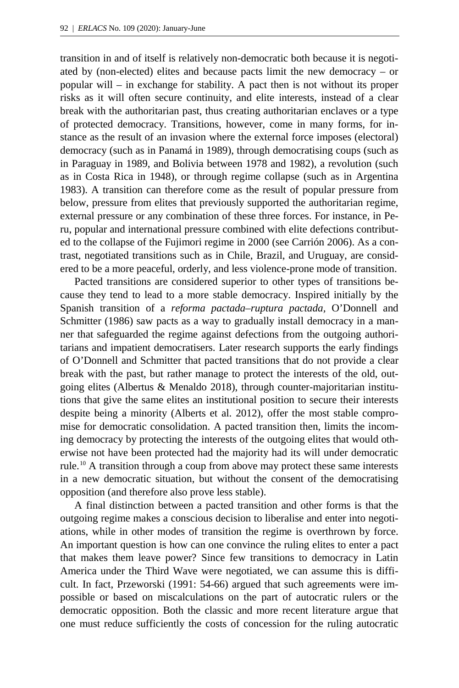transition in and of itself is relatively non-democratic both because it is negotiated by (non-elected) elites and because pacts limit the new democracy – or popular will – in exchange for stability. A pact then is not without its proper risks as it will often secure continuity, and elite interests, instead of a clear break with the authoritarian past, thus creating authoritarian enclaves or a type of protected democracy. Transitions, however, come in many forms, for instance as the result of an invasion where the external force imposes (electoral) democracy (such as in Panamá in 1989), through democratising coups (such as in Paraguay in 1989, and Bolivia between 1978 and 1982), a revolution (such as in Costa Rica in 1948), or through regime collapse (such as in Argentina 1983). A transition can therefore come as the result of popular pressure from below, pressure from elites that previously supported the authoritarian regime, external pressure or any combination of these three forces. For instance, in Peru, popular and international pressure combined with elite defections contributed to the collapse of the Fujimori regime in 2000 (see Carrión 2006). As a contrast, negotiated transitions such as in Chile, Brazil, and Uruguay, are considered to be a more peaceful, orderly, and less violence-prone mode of transition.

Pacted transitions are considered superior to other types of transitions because they tend to lead to a more stable democracy. Inspired initially by the Spanish transition of a *reforma pactada–ruptura pactada,* O'Donnell and Schmitter (1986) saw pacts as a way to gradually install democracy in a manner that safeguarded the regime against defections from the outgoing authoritarians and impatient democratisers. Later research supports the early findings of O'Donnell and Schmitter that pacted transitions that do not provide a clear break with the past, but rather manage to protect the interests of the old, outgoing elites (Albertus & Menaldo 2018), through counter-majoritarian institutions that give the same elites an institutional position to secure their interests despite being a minority (Alberts et al. 2012), offer the most stable compromise for democratic consolidation. A pacted transition then, limits the incoming democracy by protecting the interests of the outgoing elites that would otherwise not have been protected had the majority had its will under democratic rule.[10](#page-18-9) A transition through a coup from above may protect these same interests in a new democratic situation, but without the consent of the democratising opposition (and therefore also prove less stable).

A final distinction between a pacted transition and other forms is that the outgoing regime makes a conscious decision to liberalise and enter into negotiations, while in other modes of transition the regime is overthrown by force. An important question is how can one convince the ruling elites to enter a pact that makes them leave power? Since few transitions to democracy in Latin America under the Third Wave were negotiated, we can assume this is difficult. In fact, Przeworski (1991: 54-66) argued that such agreements were impossible or based on miscalculations on the part of autocratic rulers or the democratic opposition. Both the classic and more recent literature argue that one must reduce sufficiently the costs of concession for the ruling autocratic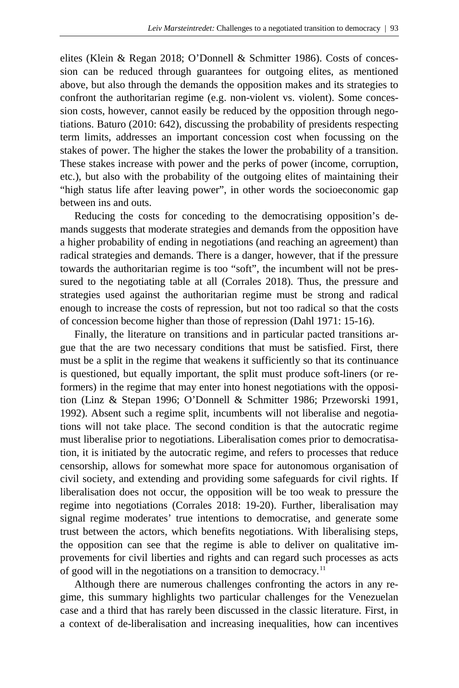elites (Klein & Regan 2018; O'Donnell & Schmitter 1986). Costs of concession can be reduced through guarantees for outgoing elites, as mentioned above, but also through the demands the opposition makes and its strategies to confront the authoritarian regime (e.g. non-violent vs. violent). Some concession costs, however, cannot easily be reduced by the opposition through negotiations. Baturo (2010: 642), discussing the probability of presidents respecting term limits, addresses an important concession cost when focussing on the stakes of power. The higher the stakes the lower the probability of a transition. These stakes increase with power and the perks of power (income, corruption, etc.), but also with the probability of the outgoing elites of maintaining their "high status life after leaving power", in other words the socioeconomic gap between ins and outs.

Reducing the costs for conceding to the democratising opposition's demands suggests that moderate strategies and demands from the opposition have a higher probability of ending in negotiations (and reaching an agreement) than radical strategies and demands. There is a danger, however, that if the pressure towards the authoritarian regime is too "soft", the incumbent will not be pressured to the negotiating table at all (Corrales 2018). Thus, the pressure and strategies used against the authoritarian regime must be strong and radical enough to increase the costs of repression, but not too radical so that the costs of concession become higher than those of repression (Dahl 1971: 15-16).

Finally, the literature on transitions and in particular pacted transitions argue that the are two necessary conditions that must be satisfied. First, there must be a split in the regime that weakens it sufficiently so that its continuance is questioned, but equally important, the split must produce soft-liners (or reformers) in the regime that may enter into honest negotiations with the opposition (Linz & Stepan 1996; O'Donnell & Schmitter 1986; Przeworski 1991, 1992). Absent such a regime split, incumbents will not liberalise and negotiations will not take place. The second condition is that the autocratic regime must liberalise prior to negotiations. Liberalisation comes prior to democratisation, it is initiated by the autocratic regime, and refers to processes that reduce censorship, allows for somewhat more space for autonomous organisation of civil society, and extending and providing some safeguards for civil rights. If liberalisation does not occur, the opposition will be too weak to pressure the regime into negotiations (Corrales 2018: 19-20). Further, liberalisation may signal regime moderates' true intentions to democratise, and generate some trust between the actors, which benefits negotiations. With liberalising steps, the opposition can see that the regime is able to deliver on qualitative improvements for civil liberties and rights and can regard such processes as acts of good will in the negotiations on a transition to democracy.[11](#page-18-10)

Although there are numerous challenges confronting the actors in any regime, this summary highlights two particular challenges for the Venezuelan case and a third that has rarely been discussed in the classic literature. First, in a context of de-liberalisation and increasing inequalities, how can incentives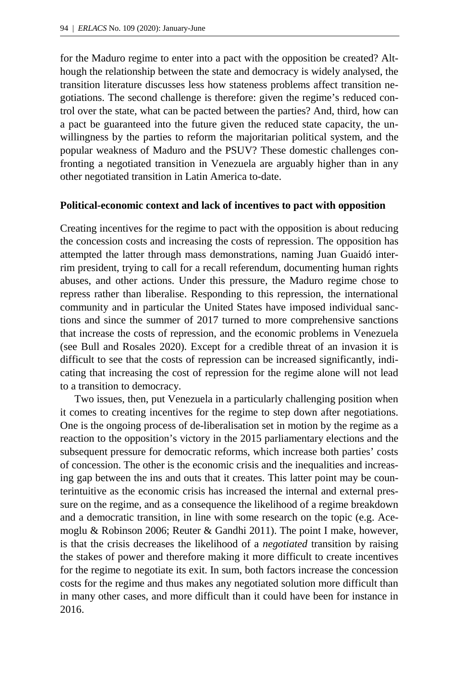for the Maduro regime to enter into a pact with the opposition be created? Although the relationship between the state and democracy is widely analysed, the transition literature discusses less how stateness problems affect transition negotiations. The second challenge is therefore: given the regime's reduced control over the state, what can be pacted between the parties? And, third, how can a pact be guaranteed into the future given the reduced state capacity, the unwillingness by the parties to reform the majoritarian political system, and the popular weakness of Maduro and the PSUV? These domestic challenges confronting a negotiated transition in Venezuela are arguably higher than in any other negotiated transition in Latin America to-date.

#### **Political-economic context and lack of incentives to pact with opposition**

Creating incentives for the regime to pact with the opposition is about reducing the concession costs and increasing the costs of repression. The opposition has attempted the latter through mass demonstrations, naming Juan Guaidó interrim president, trying to call for a recall referendum, documenting human rights abuses, and other actions. Under this pressure, the Maduro regime chose to repress rather than liberalise. Responding to this repression, the international community and in particular the United States have imposed individual sanctions and since the summer of 2017 turned to more comprehensive sanctions that increase the costs of repression, and the economic problems in Venezuela (see Bull and Rosales 2020). Except for a credible threat of an invasion it is difficult to see that the costs of repression can be increased significantly, indicating that increasing the cost of repression for the regime alone will not lead to a transition to democracy.

Two issues, then, put Venezuela in a particularly challenging position when it comes to creating incentives for the regime to step down after negotiations. One is the ongoing process of de-liberalisation set in motion by the regime as a reaction to the opposition's victory in the 2015 parliamentary elections and the subsequent pressure for democratic reforms, which increase both parties' costs of concession. The other is the economic crisis and the inequalities and increasing gap between the ins and outs that it creates. This latter point may be counterintuitive as the economic crisis has increased the internal and external pressure on the regime, and as a consequence the likelihood of a regime breakdown and a democratic transition, in line with some research on the topic (e.g. Acemoglu & Robinson 2006; Reuter & Gandhi 2011). The point I make, however, is that the crisis decreases the likelihood of a *negotiated* transition by raising the stakes of power and therefore making it more difficult to create incentives for the regime to negotiate its exit. In sum, both factors increase the concession costs for the regime and thus makes any negotiated solution more difficult than in many other cases, and more difficult than it could have been for instance in 2016.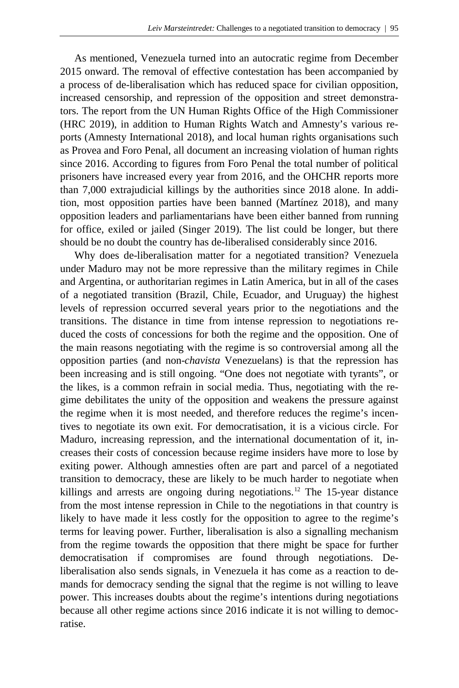As mentioned, Venezuela turned into an autocratic regime from December 2015 onward. The removal of effective contestation has been accompanied by a process of de-liberalisation which has reduced space for civilian opposition, increased censorship, and repression of the opposition and street demonstrators. The report from the UN Human Rights Office of the High Commissioner (HRC 2019), in addition to Human Rights Watch and Amnesty's various reports (Amnesty International 2018), and local human rights organisations such as Provea and Foro Penal, all document an increasing violation of human rights since 2016. According to figures from Foro Penal the total number of political prisoners have increased every year from 2016, and the OHCHR reports more than 7,000 extrajudicial killings by the authorities since 2018 alone. In addition, most opposition parties have been banned (Martínez 2018), and many opposition leaders and parliamentarians have been either banned from running for office, exiled or jailed (Singer 2019). The list could be longer, but there should be no doubt the country has de-liberalised considerably since 2016.

Why does de-liberalisation matter for a negotiated transition? Venezuela under Maduro may not be more repressive than the military regimes in Chile and Argentina, or authoritarian regimes in Latin America, but in all of the cases of a negotiated transition (Brazil, Chile, Ecuador, and Uruguay) the highest levels of repression occurred several years prior to the negotiations and the transitions. The distance in time from intense repression to negotiations reduced the costs of concessions for both the regime and the opposition. One of the main reasons negotiating with the regime is so controversial among all the opposition parties (and non-*chavista* Venezuelans) is that the repression has been increasing and is still ongoing. "One does not negotiate with tyrants", or the likes, is a common refrain in social media. Thus, negotiating with the regime debilitates the unity of the opposition and weakens the pressure against the regime when it is most needed, and therefore reduces the regime's incentives to negotiate its own exit. For democratisation, it is a vicious circle. For Maduro, increasing repression, and the international documentation of it, increases their costs of concession because regime insiders have more to lose by exiting power. Although amnesties often are part and parcel of a negotiated transition to democracy, these are likely to be much harder to negotiate when killings and arrests are ongoing during negotiations.<sup>[12](#page-18-11)</sup> The 15-year distance from the most intense repression in Chile to the negotiations in that country is likely to have made it less costly for the opposition to agree to the regime's terms for leaving power. Further, liberalisation is also a signalling mechanism from the regime towards the opposition that there might be space for further democratisation if compromises are found through negotiations. Deliberalisation also sends signals, in Venezuela it has come as a reaction to demands for democracy sending the signal that the regime is not willing to leave power. This increases doubts about the regime's intentions during negotiations because all other regime actions since 2016 indicate it is not willing to democratise.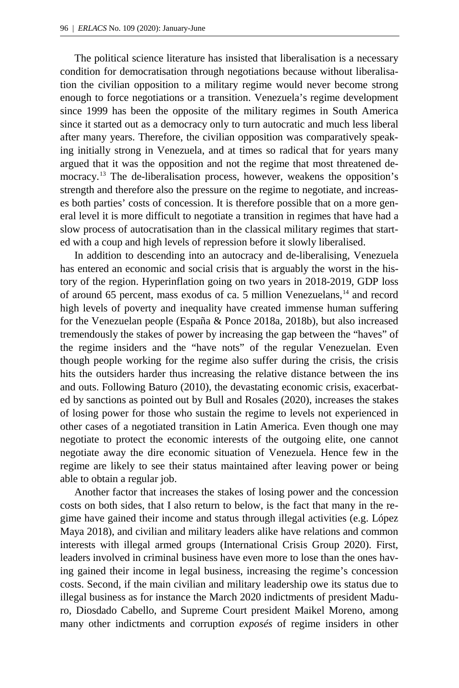The political science literature has insisted that liberalisation is a necessary condition for democratisation through negotiations because without liberalisation the civilian opposition to a military regime would never become strong enough to force negotiations or a transition. Venezuela's regime development since 1999 has been the opposite of the military regimes in South America since it started out as a democracy only to turn autocratic and much less liberal after many years. Therefore, the civilian opposition was comparatively speaking initially strong in Venezuela, and at times so radical that for years many argued that it was the opposition and not the regime that most threatened de-mocracy.<sup>[13](#page-18-12)</sup> The de-liberalisation process, however, weakens the opposition's strength and therefore also the pressure on the regime to negotiate, and increases both parties' costs of concession. It is therefore possible that on a more general level it is more difficult to negotiate a transition in regimes that have had a slow process of autocratisation than in the classical military regimes that started with a coup and high levels of repression before it slowly liberalised.

In addition to descending into an autocracy and de-liberalising, Venezuela has entered an economic and social crisis that is arguably the worst in the history of the region. Hyperinflation going on two years in 2018-2019, GDP loss of around 65 percent, mass exodus of ca. 5 million Venezuelans,[14](#page-19-0) and record high levels of poverty and inequality have created immense human suffering for the Venezuelan people (España & Ponce 2018a, 2018b), but also increased tremendously the stakes of power by increasing the gap between the "haves" of the regime insiders and the "have nots" of the regular Venezuelan. Even though people working for the regime also suffer during the crisis, the crisis hits the outsiders harder thus increasing the relative distance between the ins and outs. Following Baturo (2010), the devastating economic crisis, exacerbated by sanctions as pointed out by Bull and Rosales (2020), increases the stakes of losing power for those who sustain the regime to levels not experienced in other cases of a negotiated transition in Latin America. Even though one may negotiate to protect the economic interests of the outgoing elite, one cannot negotiate away the dire economic situation of Venezuela. Hence few in the regime are likely to see their status maintained after leaving power or being able to obtain a regular job.

Another factor that increases the stakes of losing power and the concession costs on both sides, that I also return to below, is the fact that many in the regime have gained their income and status through illegal activities (e.g. López Maya 2018), and civilian and military leaders alike have relations and common interests with illegal armed groups (International Crisis Group 2020). First, leaders involved in criminal business have even more to lose than the ones having gained their income in legal business, increasing the regime's concession costs. Second, if the main civilian and military leadership owe its status due to illegal business as for instance the March 2020 indictments of president Maduro, Diosdado Cabello, and Supreme Court president Maikel Moreno, among many other indictments and corruption *exposés* of regime insiders in other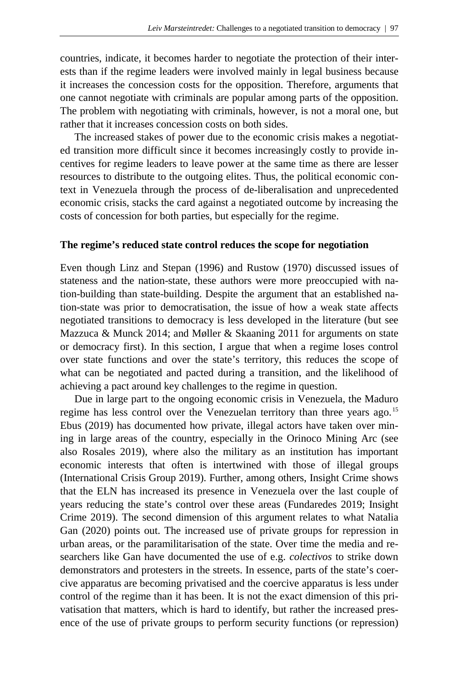countries, indicate, it becomes harder to negotiate the protection of their interests than if the regime leaders were involved mainly in legal business because it increases the concession costs for the opposition. Therefore, arguments that one cannot negotiate with criminals are popular among parts of the opposition. The problem with negotiating with criminals, however, is not a moral one, but rather that it increases concession costs on both sides.

The increased stakes of power due to the economic crisis makes a negotiated transition more difficult since it becomes increasingly costly to provide incentives for regime leaders to leave power at the same time as there are lesser resources to distribute to the outgoing elites. Thus, the political economic context in Venezuela through the process of de-liberalisation and unprecedented economic crisis, stacks the card against a negotiated outcome by increasing the costs of concession for both parties, but especially for the regime.

### **The regime's reduced state control reduces the scope for negotiation**

Even though Linz and Stepan (1996) and Rustow (1970) discussed issues of stateness and the nation-state, these authors were more preoccupied with nation-building than state-building. Despite the argument that an established nation-state was prior to democratisation, the issue of how a weak state affects negotiated transitions to democracy is less developed in the literature (but see Mazzuca & Munck 2014; and Møller & Skaaning 2011 for arguments on state or democracy first). In this section, I argue that when a regime loses control over state functions and over the state's territory, this reduces the scope of what can be negotiated and pacted during a transition, and the likelihood of achieving a pact around key challenges to the regime in question.

Due in large part to the ongoing economic crisis in Venezuela, the Maduro regime has less control over the Venezuelan territory than three years ago.<sup>[15](#page-19-1)</sup> Ebus (2019) has documented how private, illegal actors have taken over mining in large areas of the country, especially in the Orinoco Mining Arc (see also Rosales 2019), where also the military as an institution has important economic interests that often is intertwined with those of illegal groups (International Crisis Group 2019). Further, among others, Insight Crime shows that the ELN has increased its presence in Venezuela over the last couple of years reducing the state's control over these areas (Fundaredes 2019; Insight Crime 2019). The second dimension of this argument relates to what Natalia Gan (2020) points out. The increased use of private groups for repression in urban areas, or the paramilitarisation of the state. Over time the media and researchers like Gan have documented the use of e.g. *colectivos* to strike down demonstrators and protesters in the streets. In essence, parts of the state's coercive apparatus are becoming privatised and the coercive apparatus is less under control of the regime than it has been. It is not the exact dimension of this privatisation that matters, which is hard to identify, but rather the increased presence of the use of private groups to perform security functions (or repression)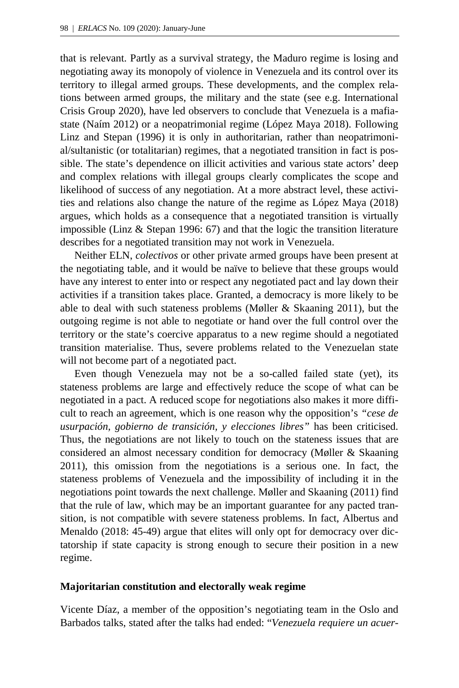that is relevant. Partly as a survival strategy, the Maduro regime is losing and negotiating away its monopoly of violence in Venezuela and its control over its territory to illegal armed groups. These developments, and the complex relations between armed groups, the military and the state (see e.g. International Crisis Group 2020), have led observers to conclude that Venezuela is a mafiastate (Naím 2012) or a neopatrimonial regime (López Maya 2018). Following Linz and Stepan (1996) it is only in authoritarian, rather than neopatrimonial/sultanistic (or totalitarian) regimes, that a negotiated transition in fact is possible. The state's dependence on illicit activities and various state actors' deep and complex relations with illegal groups clearly complicates the scope and likelihood of success of any negotiation. At a more abstract level, these activities and relations also change the nature of the regime as López Maya (2018) argues, which holds as a consequence that a negotiated transition is virtually impossible (Linz & Stepan 1996: 67) and that the logic the transition literature describes for a negotiated transition may not work in Venezuela.

Neither ELN, *colectivos* or other private armed groups have been present at the negotiating table, and it would be naïve to believe that these groups would have any interest to enter into or respect any negotiated pact and lay down their activities if a transition takes place. Granted, a democracy is more likely to be able to deal with such stateness problems (Møller & Skaaning 2011), but the outgoing regime is not able to negotiate or hand over the full control over the territory or the state's coercive apparatus to a new regime should a negotiated transition materialise. Thus, severe problems related to the Venezuelan state will not become part of a negotiated pact.

Even though Venezuela may not be a so-called failed state (yet), its stateness problems are large and effectively reduce the scope of what can be negotiated in a pact. A reduced scope for negotiations also makes it more difficult to reach an agreement, which is one reason why the opposition's *"cese de usurpación, gobierno de transición, y elecciones libres"* has been criticised. Thus, the negotiations are not likely to touch on the stateness issues that are considered an almost necessary condition for democracy (Møller & Skaaning 2011), this omission from the negotiations is a serious one. In fact, the stateness problems of Venezuela and the impossibility of including it in the negotiations point towards the next challenge. Møller and Skaaning (2011) find that the rule of law, which may be an important guarantee for any pacted transition, is not compatible with severe stateness problems. In fact, Albertus and Menaldo (2018: 45-49) argue that elites will only opt for democracy over dictatorship if state capacity is strong enough to secure their position in a new regime.

### **Majoritarian constitution and electorally weak regime**

Vicente Díaz, a member of the opposition's negotiating team in the Oslo and Barbados talks, stated after the talks had ended: "*Venezuela requiere un acuer-*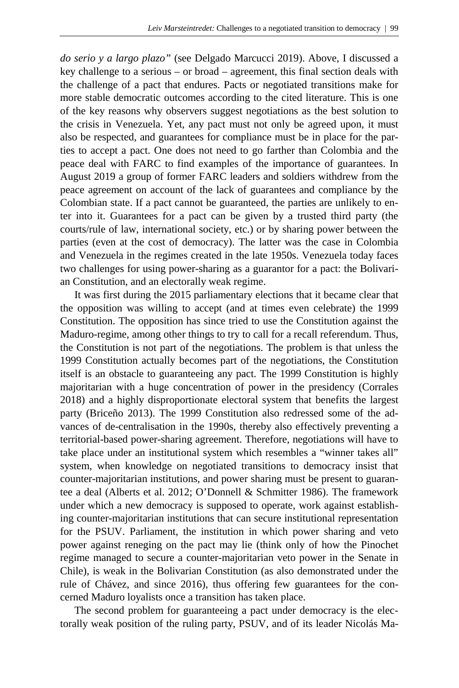*do serio y a largo plazo"* (see Delgado Marcucci 2019). Above, I discussed a key challenge to a serious – or broad – agreement, this final section deals with the challenge of a pact that endures. Pacts or negotiated transitions make for more stable democratic outcomes according to the cited literature. This is one of the key reasons why observers suggest negotiations as the best solution to the crisis in Venezuela. Yet, any pact must not only be agreed upon, it must also be respected, and guarantees for compliance must be in place for the parties to accept a pact. One does not need to go farther than Colombia and the peace deal with FARC to find examples of the importance of guarantees. In August 2019 a group of former FARC leaders and soldiers withdrew from the peace agreement on account of the lack of guarantees and compliance by the Colombian state. If a pact cannot be guaranteed, the parties are unlikely to enter into it. Guarantees for a pact can be given by a trusted third party (the courts/rule of law, international society, etc.) or by sharing power between the parties (even at the cost of democracy). The latter was the case in Colombia and Venezuela in the regimes created in the late 1950s. Venezuela today faces two challenges for using power-sharing as a guarantor for a pact: the Bolivarian Constitution, and an electorally weak regime.

It was first during the 2015 parliamentary elections that it became clear that the opposition was willing to accept (and at times even celebrate) the 1999 Constitution. The opposition has since tried to use the Constitution against the Maduro-regime, among other things to try to call for a recall referendum. Thus, the Constitution is not part of the negotiations. The problem is that unless the 1999 Constitution actually becomes part of the negotiations, the Constitution itself is an obstacle to guaranteeing any pact. The 1999 Constitution is highly majoritarian with a huge concentration of power in the presidency (Corrales 2018) and a highly disproportionate electoral system that benefits the largest party (Briceño 2013). The 1999 Constitution also redressed some of the advances of de-centralisation in the 1990s, thereby also effectively preventing a territorial-based power-sharing agreement. Therefore, negotiations will have to take place under an institutional system which resembles a "winner takes all" system, when knowledge on negotiated transitions to democracy insist that counter-majoritarian institutions, and power sharing must be present to guarantee a deal (Alberts et al. 2012; O'Donnell & Schmitter 1986). The framework under which a new democracy is supposed to operate, work against establishing counter-majoritarian institutions that can secure institutional representation for the PSUV. Parliament, the institution in which power sharing and veto power against reneging on the pact may lie (think only of how the Pinochet regime managed to secure a counter-majoritarian veto power in the Senate in Chile), is weak in the Bolivarian Constitution (as also demonstrated under the rule of Chávez, and since 2016), thus offering few guarantees for the concerned Maduro loyalists once a transition has taken place.

The second problem for guaranteeing a pact under democracy is the electorally weak position of the ruling party, PSUV, and of its leader Nicolás Ma-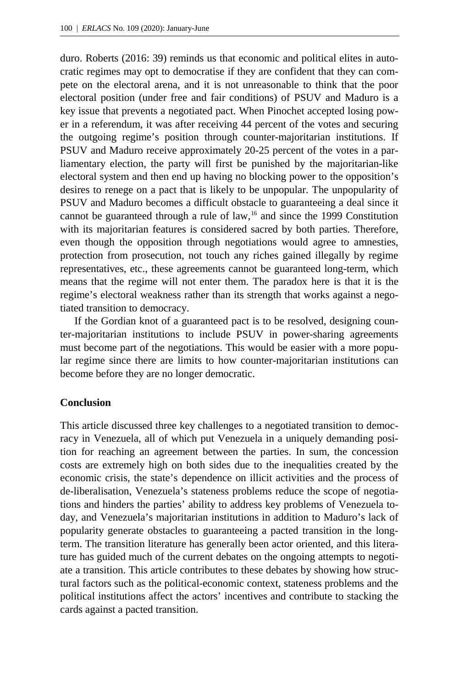duro. Roberts (2016: 39) reminds us that economic and political elites in autocratic regimes may opt to democratise if they are confident that they can compete on the electoral arena, and it is not unreasonable to think that the poor electoral position (under free and fair conditions) of PSUV and Maduro is a key issue that prevents a negotiated pact. When Pinochet accepted losing power in a referendum, it was after receiving 44 percent of the votes and securing the outgoing regime's position through counter-majoritarian institutions. If PSUV and Maduro receive approximately 20-25 percent of the votes in a parliamentary election, the party will first be punished by the majoritarian-like electoral system and then end up having no blocking power to the opposition's desires to renege on a pact that is likely to be unpopular. The unpopularity of PSUV and Maduro becomes a difficult obstacle to guaranteeing a deal since it cannot be guaranteed through a rule of law,<sup>[16](#page-19-2)</sup> and since the 1999 Constitution with its majoritarian features is considered sacred by both parties. Therefore, even though the opposition through negotiations would agree to amnesties, protection from prosecution, not touch any riches gained illegally by regime representatives, etc., these agreements cannot be guaranteed long-term, which means that the regime will not enter them. The paradox here is that it is the regime's electoral weakness rather than its strength that works against a negotiated transition to democracy.

If the Gordian knot of a guaranteed pact is to be resolved, designing counter-majoritarian institutions to include PSUV in power-sharing agreements must become part of the negotiations. This would be easier with a more popular regime since there are limits to how counter-majoritarian institutions can become before they are no longer democratic.

## **Conclusion**

This article discussed three key challenges to a negotiated transition to democracy in Venezuela, all of which put Venezuela in a uniquely demanding position for reaching an agreement between the parties. In sum, the concession costs are extremely high on both sides due to the inequalities created by the economic crisis, the state's dependence on illicit activities and the process of de-liberalisation, Venezuela's stateness problems reduce the scope of negotiations and hinders the parties' ability to address key problems of Venezuela today, and Venezuela's majoritarian institutions in addition to Maduro's lack of popularity generate obstacles to guaranteeing a pacted transition in the longterm. The transition literature has generally been actor oriented, and this literature has guided much of the current debates on the ongoing attempts to negotiate a transition. This article contributes to these debates by showing how structural factors such as the political-economic context, stateness problems and the political institutions affect the actors' incentives and contribute to stacking the cards against a pacted transition.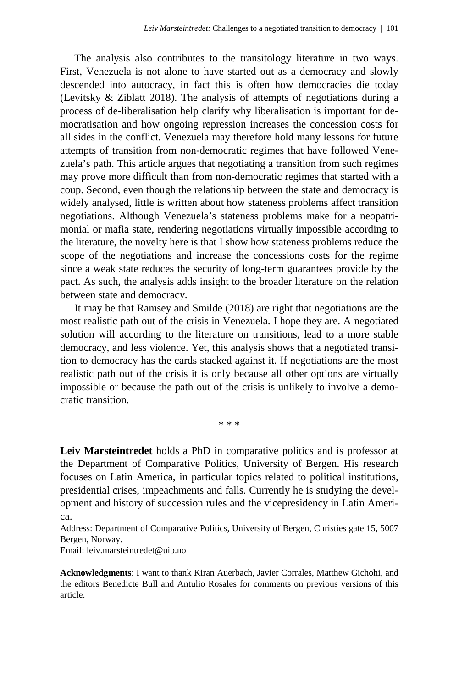The analysis also contributes to the transitology literature in two ways. First, Venezuela is not alone to have started out as a democracy and slowly descended into autocracy, in fact this is often how democracies die today (Levitsky & Ziblatt 2018). The analysis of attempts of negotiations during a process of de-liberalisation help clarify why liberalisation is important for democratisation and how ongoing repression increases the concession costs for all sides in the conflict. Venezuela may therefore hold many lessons for future attempts of transition from non-democratic regimes that have followed Venezuela's path. This article argues that negotiating a transition from such regimes may prove more difficult than from non-democratic regimes that started with a coup. Second, even though the relationship between the state and democracy is widely analysed, little is written about how stateness problems affect transition negotiations. Although Venezuela's stateness problems make for a neopatrimonial or mafia state, rendering negotiations virtually impossible according to the literature, the novelty here is that I show how stateness problems reduce the scope of the negotiations and increase the concessions costs for the regime since a weak state reduces the security of long-term guarantees provide by the pact. As such, the analysis adds insight to the broader literature on the relation between state and democracy.

It may be that Ramsey and Smilde (2018) are right that negotiations are the most realistic path out of the crisis in Venezuela. I hope they are. A negotiated solution will according to the literature on transitions, lead to a more stable democracy, and less violence. Yet, this analysis shows that a negotiated transition to democracy has the cards stacked against it. If negotiations are the most realistic path out of the crisis it is only because all other options are virtually impossible or because the path out of the crisis is unlikely to involve a democratic transition.

\* \* \*

**Leiv Marsteintredet** holds a PhD in comparative politics and is professor at the Department of Comparative Politics, University of Bergen. His research focuses on Latin America, in particular topics related to political institutions, presidential crises, impeachments and falls. Currently he is studying the development and history of succession rules and the vicepresidency in Latin America.

Address: Department of Comparative Politics, University of Bergen, Christies gate 15, 5007 Bergen, Norway.

Email: [leiv.marsteintredet@uib.no](mailto:leiv.marsteintredet@uib.no)

**Acknowledgments**: I want to thank Kiran Auerbach, Javier Corrales, Matthew Gichohi, and the editors Benedicte Bull and Antulio Rosales for comments on previous versions of this article.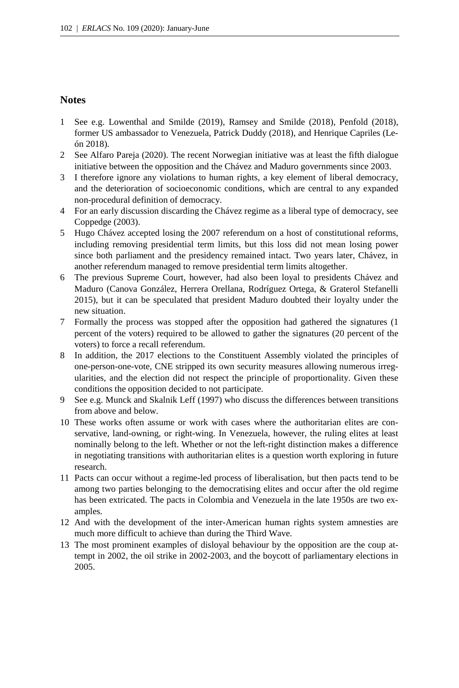## **Notes**

- 1 See e.g. Lowenthal and Smilde (2019), Ramsey and Smilde (2018), Penfold (2018), former US ambassador to Venezuela, Patrick Duddy (2018), and Henrique Capriles (León 2018).
- 2 See Alfaro Pareja (2020). The recent Norwegian initiative was at least the fifth dialogue initiative between the opposition and the Chávez and Maduro governments since 2003.
- 3 I therefore ignore any violations to human rights, a key element of liberal democracy, and the deterioration of socioeconomic conditions, which are central to any expanded non-procedural definition of democracy.
- 4 For an early discussion discarding the Chávez regime as a liberal type of democracy, see Coppedge (2003).
- 5 Hugo Chávez accepted losing the 2007 referendum on a host of constitutional reforms, including removing presidential term limits, but this loss did not mean losing power since both parliament and the presidency remained intact. Two years later, Chávez, in another referendum managed to remove presidential term limits altogether.
- 6 The previous Supreme Court, however, had also been loyal to presidents Chávez and Maduro (Canova González, Herrera Orellana, Rodríguez Ortega, & Graterol Stefanelli 2015), but it can be speculated that president Maduro doubted their loyalty under the new situation.
- 7 Formally the process was stopped after the opposition had gathered the signatures (1 percent of the voters) required to be allowed to gather the signatures (20 percent of the voters) to force a recall referendum.
- 8 In addition, the 2017 elections to the Constituent Assembly violated the principles of one-person-one-vote, CNE stripped its own security measures allowing numerous irregularities, and the election did not respect the principle of proportionality. Given these conditions the opposition decided to not participate.
- 9 See e.g. Munck and Skalnik Leff (1997) who discuss the differences between transitions from above and below.
- 10 These works often assume or work with cases where the authoritarian elites are conservative, land-owning, or right-wing. In Venezuela, however, the ruling elites at least nominally belong to the left. Whether or not the left-right distinction makes a difference in negotiating transitions with authoritarian elites is a question worth exploring in future research.
- 11 Pacts can occur without a regime-led process of liberalisation, but then pacts tend to be among two parties belonging to the democratising elites and occur after the old regime has been extricated. The pacts in Colombia and Venezuela in the late 1950s are two examples.
- 12 And with the development of the inter-American human rights system amnesties are much more difficult to achieve than during the Third Wave.
- 13 The most prominent examples of disloyal behaviour by the opposition are the coup attempt in 2002, the oil strike in 2002-2003, and the boycott of parliamentary elections in 2005.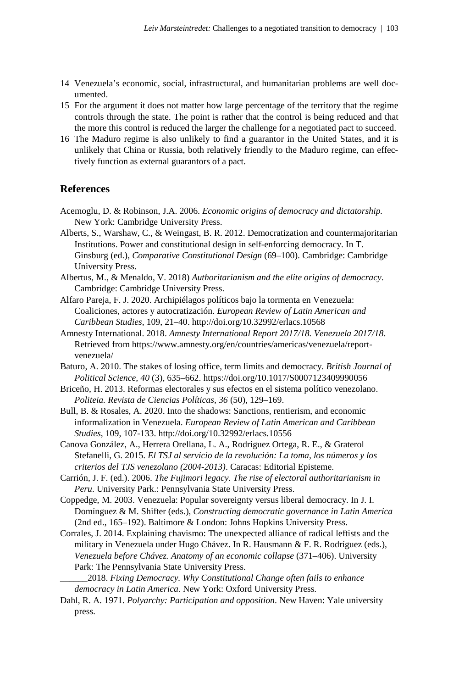- 14 Venezuela's economic, social, infrastructural, and humanitarian problems are well documented.
- 15 For the argument it does not matter how large percentage of the territory that the regime controls through the state. The point is rather that the control is being reduced and that the more this control is reduced the larger the challenge for a negotiated pact to succeed.
- 16 The Maduro regime is also unlikely to find a guarantor in the United States, and it is unlikely that China or Russia, both relatively friendly to the Maduro regime, can effectively function as external guarantors of a pact.

## **References**

- Acemoglu, D. & Robinson, J.A. 2006. *Economic origins of democracy and dictatorship.*  New York: Cambridge University Press.
- Alberts, S., Warshaw, C., & Weingast, B. R. 2012. Democratization and countermajoritarian Institutions. Power and constitutional design in self-enforcing democracy. In T. Ginsburg (ed.), *Comparative Constitutional Design* (69–100). Cambridge: Cambridge University Press.
- Albertus, M., & Menaldo, V. 2018) *Authoritarianism and the elite origins of democracy*. Cambridge: Cambridge University Press.
- Alfaro Pareja, F. J. 2020. Archipiélagos políticos bajo la tormenta en Venezuela: Coaliciones, actores y autocratización. *European Review of Latin American and Caribbean Studies*, 109, 21–40. [http://doi.org/10.32992/erlacs.10568](http://doi.org/10.32992/erlacs.1056)
- Amnesty International. 2018. *Amnesty International Report 2017/18. Venezuela 2017/18*. Retrieved from https://www.amnesty.org/en/countries/americas/venezuela/reportvenezuela/
- Baturo, A. 2010. The stakes of losing office, term limits and democracy. *British Journal of Political Science, 40* (3), 635–662. https://doi.org/10.1017/S0007123409990056
- Briceño, H. 2013. Reformas electorales y sus efectos en el sistema político venezolano. *Politeia. Revista de Ciencias Políticas, 36* (50), 129–169.
- Bull, B. & Rosales, A. 2020. Into the shadows: Sanctions, rentierism, and economic informalization in Venezuela. *European Review of Latin American and Caribbean Studies*, 109, 107-133. http://doi.org/10.32992/erlacs.10556
- Canova González, A., Herrera Orellana, L. A., Rodríguez Ortega, R. E., & Graterol Stefanelli, G. 2015. *El TSJ al servicio de la revolución: La toma, los números y los criterios del TJS venezolano (2004-2013)*. Caracas: Editorial Episteme.
- Carrión, J. F. (ed.). 2006. *The Fujimori legacy. The rise of electoral authoritarianism in Peru*. University Park.: Pennsylvania State University Press.
- Coppedge, M. 2003. Venezuela: Popular sovereignty versus liberal democracy. In J. I. Domínguez & M. Shifter (eds.), *Constructing democratic governance in Latin America*  (2nd ed., 165–192). Baltimore & London: Johns Hopkins University Press.
- Corrales, J. 2014. Explaining chavismo: The unexpected alliance of radical leftists and the military in Venezuela under Hugo Chávez. In R. Hausmann & F. R. Rodríguez (eds.), *Venezuela before Chávez. Anatomy of an economic collapse* (371–406). University Park: The Pennsylvania State University Press.

\_\_\_\_\_\_2018. *Fixing Democracy. Why Constitutional Change often fails to enhance democracy in Latin America*. New York: Oxford University Press.

Dahl, R. A. 1971. *Polyarchy: Participation and opposition*. New Haven: Yale university press.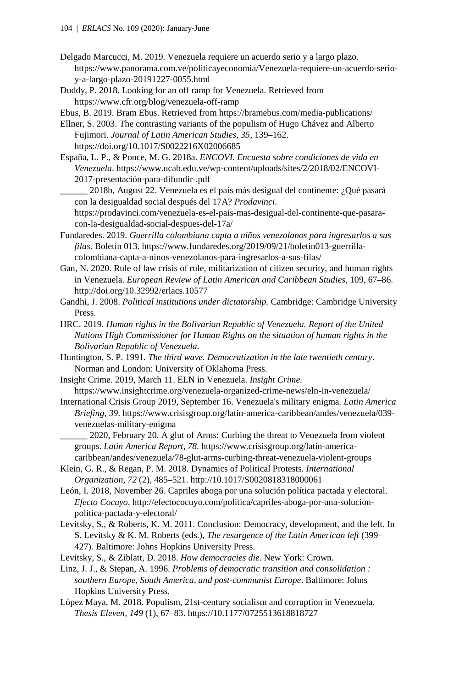Delgado Marcucci, M. 2019. Venezuela requiere un acuerdo serio y a largo plazo. https://www.panorama.com.ve/politicayeconomia/Venezuela-requiere-un-acuerdo-serioy-a-largo-plazo-20191227-0055.html

Duddy, P. 2018. Looking for an off ramp for Venezuela. Retrieved from https://www.cfr.org/blog/venezuela-off-ramp

Ebus, B. 2019. Bram Ebus. Retrieved from https://bramebus.com/media-publications/

- Ellner, S. 2003. The contrasting variants of the populism of Hugo Chávez and Alberto Fujimori. *Journal of Latin American Studies, 35*, 139–162. https://doi.org/10.1017/S0022216X02006685
- España, L. P., & Ponce, M. G. 2018a. *ENCOVI. Encuesta sobre condiciones de vida en Venezuela*. https://www.ucab.edu.ve/wp-content/uploads/sites/2/2018/02/ENCOVI-2017-presentación-para-difundir-.pdf

\_\_\_\_\_\_ 2018b, August 22. Venezuela es el país más desigual del continente: ¿Qué pasará con la desigualdad social después del 17A? *Prodavinci*.

https://prodavinci.com/venezuela-es-el-pais-mas-desigual-del-continente-que-pasaracon-la-desigualdad-social-despues-del-17a/

Fundaredes. 2019. *Guerrilla colombiana capta a niños venezolanos para ingresarlos a sus filas*. Boletín 013. https://www.fundaredes.org/2019/09/21/boletin013-guerrillacolombiana-capta-a-ninos-venezolanos-para-ingresarlos-a-sus-filas/

Gan, N. 2020. Rule of law crisis of rule, militarization of citizen security, and human rights in Venezuela. *European Review of Latin American and Caribbean Studies*, 109, 67–86. http://doi.org/10.32992/erlacs.10577

Gandhi, J. 2008. *Political institutions under dictatorship.* Cambridge: Cambridge University Press.

- HRC. 2019. *Human rights in the Bolivarian Republic of Venezuela. Report of the United Nations High Commissioner for Human Rights on the situation of human rights in the Bolivarian Republic of Venezuela*.
- Huntington, S. P. 1991. *The third wave. Democratization in the late twentieth century*. Norman and London: University of Oklahoma Press.
- Insight Crime. 2019, March 11. ELN in Venezuela. *Insight Crime*. https://www.insightcrime.org/venezuela-organized-crime-news/eln-in-venezuela/

International Crisis Group 2019, September 16. Venezuela's military enigma. *Latin America Briefing, 39*. https://www.crisisgroup.org/latin-america-caribbean/andes/venezuela/039 venezuelas-military-enigma

- 2020, February 20. A glut of Arms: Curbing the threat to Venezuela from violent groups. *Latin America Report, 78*. https://www.crisisgroup.org/latin-americacaribbean/andes/venezuela/78-glut-arms-curbing-threat-venezuela-violent-groups
- Klein, G. R., & Regan, P. M. 2018. Dynamics of Political Protests. *International Organization, 72* (2), 485–521[. http://10.1017/S0020818318000061](http://10.0.3.249/S0020818318000061)
- León, I. 2018, November 26. Capriles aboga por una solución política pactada y electoral. *Efecto Cocuyo*. http://efectococuyo.com/politica/capriles-aboga-por-una-solucionpolitica-pactada-y-electoral/
- Levitsky, S., & Roberts, K. M. 2011. Conclusion: Democracy, development, and the left. In S. Levitsky & K. M. Roberts (eds.), *The resurgence of the Latin American left* (399– 427). Baltimore: Johns Hopkins University Press.
- Levitsky, S., & Ziblatt, D. 2018. *How democracies die*. New York: Crown.
- Linz, J. J., & Stepan, A. 1996. *Problems of democratic transition and consolidation : southern Europe, South America, and post-communist Europe*. Baltimore: Johns Hopkins University Press.
- López Maya, M. 2018. Populism, 21st-century socialism and corruption in Venezuela. *Thesis Eleven, 149* (1), 67–83. https://10.1177/0725513618818727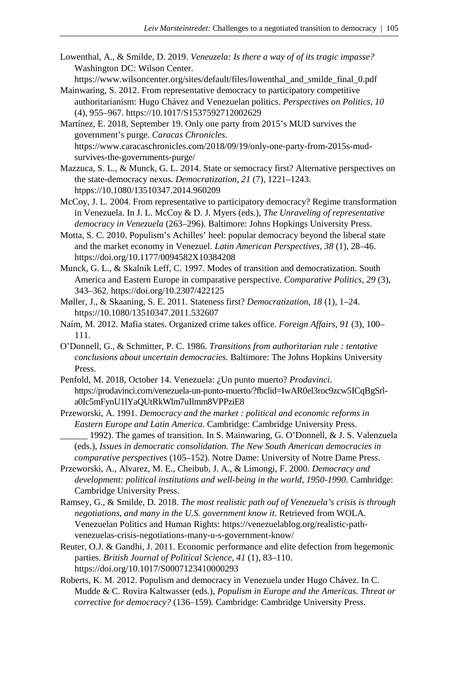Lowenthal, A., & Smilde, D. 2019. *Veneuzela: Is there a way of of its tragic impasse?* Washington DC: Wilson Center.

https://www.wilsoncenter.org/sites/default/files/lowenthal\_and\_smilde\_final\_0.pdf Mainwaring, S. 2012. From representative democracy to participatory competitive

- <span id="page-18-0"></span>authoritarianism: Hugo Chávez and Venezuelan politics. *Perspectives on Politics, 10* (4), 955–967. https://10.1017/S1537592712002629
- Martínez, E. 2018, September 19. Only one party from 2015's MUD survives the government's purge. *Caracas Chronicles*. https://www.caracaschronicles.com/2018/09/19/only-one-party-from-2015s-mudsurvives-the-governments-purge/
- <span id="page-18-2"></span><span id="page-18-1"></span>Mazzuca, S. L., & Munck, G. L. 2014. State or semocracy first? Alternative perspectives on the state-democracy nexus. *Democratization, 21* (7), 1221–1243. htpps://10.1080/13510347.2014.960209
- <span id="page-18-3"></span>McCoy, J. L. 2004. From representative to participatory democracy? Regime transformation in Venezuela. In J. L. McCoy & D. J. Myers (eds.), *The Unraveling of representative democracy in Venezuela* (263–296). Baltimore: Johns Hopkings University Press.
- <span id="page-18-4"></span>Motta, S. C. 2010. Populism's Achilles' heel: popular democracy beyond the liberal state and the market economy in Venezuel. *Latin American Perspectives, 38* (1), 28–46. https://doi.org/10.1177/0094582X10384208
- <span id="page-18-5"></span>Munck, G. L., & Skalnik Leff, C. 1997. Modes of transition and democratization. South America and Eastern Europe in comparative perspective. *Comparative Politics, 29* (3), 343–362. https://doi.org/10.2307/422125
- Møller, J., & Skaaning, S. E. 2011. Stateness first? *Democratization, 18* (1), 1–24. https://10.1080/13510347.2011.532607
- <span id="page-18-6"></span>Naím, M. 2012. Mafia states. Organized crime takes office. *Foreign Affairs, 91* (3), 100– 111.
- <span id="page-18-7"></span>O'Donnell, G., & Schmitter, P. C. 1986. *Transitions from authoritarian rule : tentative conclusions about uncertain democracies*. Baltimore: The Johns Hopkins University Press.
- Penfold, M. 2018, October 14. Venezuela: ¿Un punto muerto? *Prodavinci*. https://prodavinci.com/venezuela-un-punto-muerto/?fbclid=IwAR0el3roc9zcw5ICqBgSrla0Ic5mFynU1lYaQUtRkWlm7uIlmm8VPPziE8
- <span id="page-18-9"></span><span id="page-18-8"></span>Przeworski, A. 1991. *Democracy and the market : political and economic reforms in Eastern Europe and Latin America*. Cambridge: Cambridge University Press. 1992). The games of transition. In S. Mainwaring, G. O'Donnell, & J. S. Valenzuela
- (eds.), *Issues in democratic consolidation. The New South American democracies in comparative perspectives* (105–152). Notre Dame: University of Notre Dame Press. Przeworski, A., Alvarez, M. E., Cheibub, J. A., & Limongi, F. 2000. *Democracy and*
- <span id="page-18-10"></span>*development: political institutions and well-being in the world, 1950-1990*. Cambridge: Cambridge University Press.
- <span id="page-18-11"></span>Ramsey, G., & Smilde, D. 2018. *The most realistic path ouf of Venezuela's crisis is through negotiations, and many in the U.S. government know it*. Retrieved from WOLA. Venezuelan Politics and Human Rights: https://venezuelablog.org/realistic-pathvenezuelas-crisis-negotiations-many-u-s-government-know/
- <span id="page-18-12"></span>Reuter, O.J. & Gandhi, J. 2011. Economic performance and elite defection from hegemonic parties. *British Journal of Political Science, 41* (1), 83–110. https://doi.org/10.1017/S0007123410000293
- Roberts, K. M. 2012. Populism and democracy in Venezuela under Hugo Chávez. In C. Mudde & C. Rovira Kaltwasser (eds.), *Populism in Europe and the Americas. Threat or corrective for democracy?* (136–159). Cambridge: Cambridge University Press.